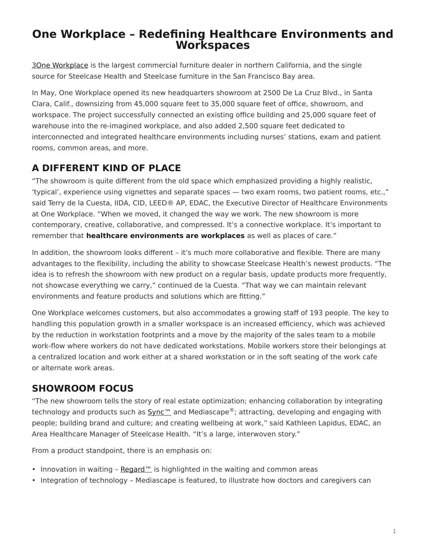# <span id="page-0-0"></span>**One Workplace – Redefining Healthcare Environments and Workspaces**

[3One Workplace](http://www.oneworkplace.com/) is the largest commercial furniture dealer in northern California, and the single source for Steelcase Health and Steelcase furniture in the San Francisco Bay area.

In May, One Workplace opened its new headquarters showroom at 2500 De La Cruz Blvd., in Santa Clara, Calif., downsizing from 45,000 square feet to 35,000 square feet of office, showroom, and workspace. The project successfully connected an existing office building and 25,000 square feet of warehouse into the re-imagined workplace, and also added 2,500 square feet dedicated to interconnected and integrated healthcare environments including nurses' stations, exam and patient rooms, common areas, and more.

# **A DIFFERENT KIND OF PLACE**

"The showroom is quite different from the old space which emphasized providing a highly realistic, 'typical', experience using vignettes and separate spaces — two exam rooms, two patient rooms, etc.," said Terry de la Cuesta, IIDA, CID, LEED® AP, EDAC, the Executive Director of Healthcare Environments at One Workplace. "When we moved, it changed the way we work. The new showroom is more contemporary, creative, collaborative, and compressed. It's a connective workplace. It's important to remember that **healthcare environments are workplaces** as well as places of care."

In addition, the showroom looks different – it's much more collaborative and flexible. There are many advantages to the flexibility, including the ability to showcase Steelcase Health's newest products. "The idea is to refresh the showroom with new product on a regular basis, update products more frequently, not showcase everything we carry," continued de la Cuesta. "That way we can maintain relevant environments and feature products and solutions which are fitting."

One Workplace welcomes customers, but also accommodates a growing staff of 193 people. The key to handling this population growth in a smaller workspace is an increased efficiency, which was achieved by the reduction in workstation footprints and a move by the majority of the sales team to a mobile work-flow where workers do not have dedicated workstations. Mobile workers store their belongings at a centralized location and work either at a shared workstation or in the soft seating of the work cafe or alternate work areas.

### **SHOWROOM FOCUS**

"The new showroom tells the story of real estate optimization; enhancing collaboration by integrating technology and products such as  $Sym<sup>m</sup>$  and Mediascape<sup>®</sup>; attracting, developing and engaging with people; building brand and culture; and creating wellbeing at work," said Kathleen Lapidus, EDAC, an Area Healthcare Manager of Steelcase Health. "It's a large, interwoven story."

From a product standpoint, there is an emphasis on:

- Innovation in waiting Regard<sup>™</sup> is highlighted in the waiting and common areas
- Integration of technology Mediascape is featured, to illustrate how doctors and caregivers can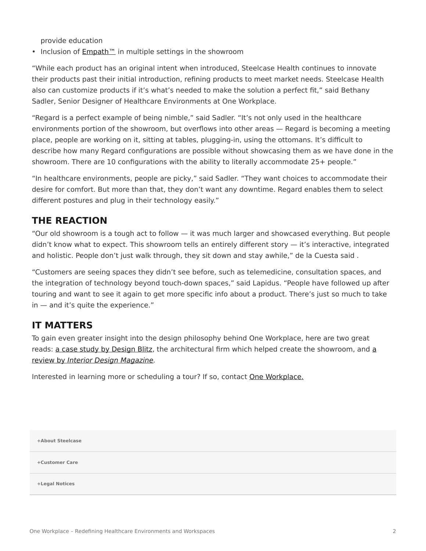provide education

• Inclusion of **[Empath™](https://www.steelcase.com/products/patient-bariatric-chairs/empath/)** in multiple settings in the showroom

"While each product has an original intent when introduced, Steelcase Health continues to innovate their products past their initial introduction, refining products to meet market needs. Steelcase Health also can customize products if it's what's needed to make the solution a perfect fit," said Bethany Sadler, Senior Designer of Healthcare Environments at One Workplace.

"Regard is a perfect example of being nimble," said Sadler. "It's not only used in the healthcare environments portion of the showroom, but overflows into other areas — Regard is becoming a meeting place, people are working on it, sitting at tables, plugging-in, using the ottomans. It's difficult to describe how many Regard configurations are possible without showcasing them as we have done in the showroom. There are 10 configurations with the ability to literally accommodate 25+ people."

"In healthcare environments, people are picky," said Sadler. "They want choices to accommodate their desire for comfort. But more than that, they don't want any downtime. Regard enables them to select different postures and plug in their technology easily."

#### **THE REACTION**

"Our old showroom is a tough act to follow — it was much larger and showcased everything. But people didn't know what to expect. This showroom tells an entirely different story — it's interactive, integrated and holistic. People don't just walk through, they sit down and stay awhile," de la Cuesta said .

"Customers are seeing spaces they didn't see before, such as telemedicine, consultation spaces, and the integration of technology beyond touch-down spaces," said Lapidus. "People have followed up after touring and want to see it again to get more specific info about a product. There's just so much to take in — and it's quite the experience."

### **IT MATTERS**

To gain even greater insight into the design philosophy behind One Workplace, here are two great reads: [a case study by](https://studioblitz.com/work/one-workplace/) Design Blitz, the [a](http://www.interiordesign.net/article/565256-Do_the_Math_Blitz_Makes_One_Workplace_Two.php?intref=sr)rchitectural firm which helped create the showroom, and a [review by](http://www.interiordesign.net/article/565256-Do_the_Math_Blitz_Makes_One_Workplace_Two.php?intref=sr) *[Interior Design Magazine.](http://www.interiordesign.net/article/565256-Do_the_Math_Blitz_Makes_One_Workplace_Two.php?intref=sr)*

Interested in learning more or scheduling a tour? If so, contact [One Workplace.](http://www.oneworkplace.com/locations/)

**[+About Steelcase](https://www.steelcase.com/discover/steelcase/our-company/)**

**[+Customer Care](#page-0-0)**

**[+Legal Notices](#page-0-0)**